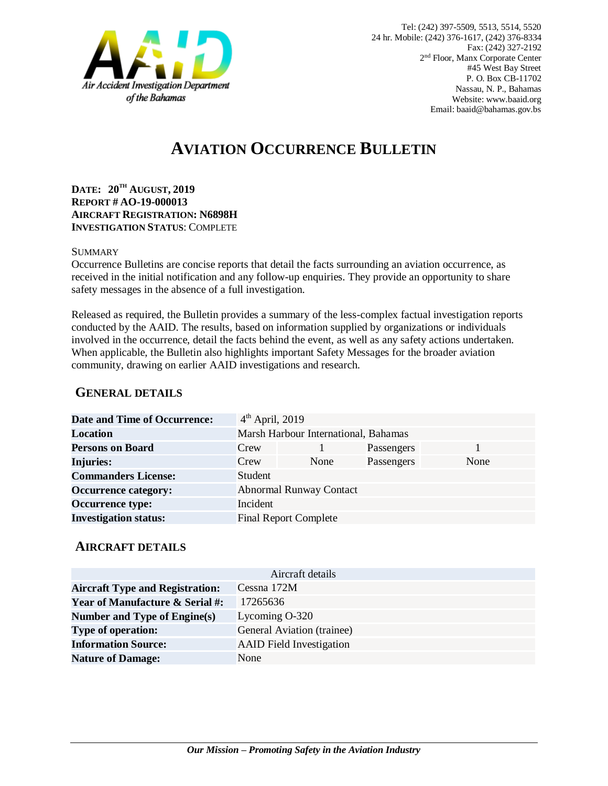

# **AVIATION OCCURRENCE BULLETIN**

**DATE: 20TH AUGUST, 2019 REPORT # AO-19-000013 AIRCRAFT REGISTRATION: N6898H INVESTIGATION STATUS**: COMPLETE

#### SUMMARY

Occurrence Bulletins are concise reports that detail the facts surrounding an aviation occurrence, as received in the initial notification and any follow-up enquiries. They provide an opportunity to share safety messages in the absence of a full investigation*.*

Released as required, the Bulletin provides a summary of the less-complex factual investigation reports conducted by the AAID. The results, based on information supplied by organizations or individuals involved in the occurrence, detail the facts behind the event, as well as any safety actions undertaken. When applicable, the Bulletin also highlights important Safety Messages for the broader aviation community, drawing on earlier AAID investigations and research.

### **GENERAL DETAILS**

| <b>Date and Time of Occurrence:</b> | $4th$ April, 2019                    |                                |            |      |
|-------------------------------------|--------------------------------------|--------------------------------|------------|------|
| Location                            | Marsh Harbour International, Bahamas |                                |            |      |
| <b>Persons on Board</b>             | Crew                                 |                                | Passengers |      |
| <b>Injuries:</b>                    | Crew                                 | None                           | Passengers | None |
| <b>Commanders License:</b>          | Student                              |                                |            |      |
| <b>Occurrence category:</b>         |                                      | <b>Abnormal Runway Contact</b> |            |      |
| <b>Occurrence type:</b>             | Incident                             |                                |            |      |
| <b>Investigation status:</b>        |                                      | <b>Final Report Complete</b>   |            |      |

#### **AIRCRAFT DETAILS**

| Aircraft details                           |                                 |  |  |  |
|--------------------------------------------|---------------------------------|--|--|--|
| <b>Aircraft Type and Registration:</b>     | Cessna 172M                     |  |  |  |
| <b>Year of Manufacture &amp; Serial #:</b> | 17265636                        |  |  |  |
| Number and Type of Engine(s)               | Lycoming O-320                  |  |  |  |
| <b>Type of operation:</b>                  | General Aviation (trainee)      |  |  |  |
| <b>Information Source:</b>                 | <b>AAID</b> Field Investigation |  |  |  |
| <b>Nature of Damage:</b>                   | None                            |  |  |  |